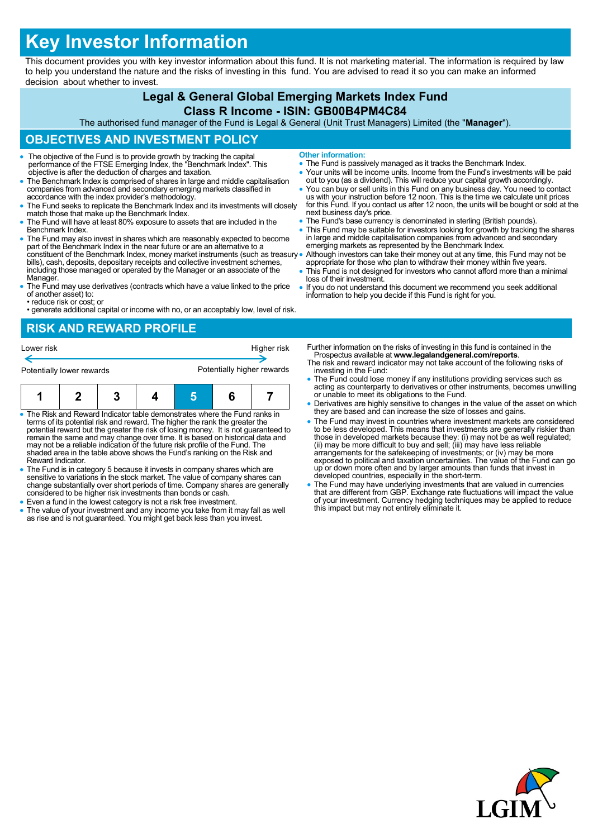# **Key Investor Information**

This document provides you with key investor information about this fund. It is not marketing material. The information is required by law to help you understand the nature and the risks of investing in this fund. You are advised to read it so you can make an informed decision about whether to invest.

### **Legal & General Global Emerging Markets Index Fund**

#### **Class R Income - ISIN: GB00B4PM4C84**

The authorised fund manager of the Fund is Legal & General (Unit Trust Managers) Limited (the "**Manager**").

# **OBJECTIVES AND INVESTMENT POLICY**

- The objective of the Fund is to provide growth by tracking the capital performance of the FTSE Emerging Index, the "Benchmark Index". This objective is after the deduction of charges and taxation.
- The Benchmark Index is comprised of shares in large and middle capitalisation companies from advanced and secondary emerging markets classified in accordance with the index provider's methodology.
- The Fund seeks to replicate the Benchmark Index and its investments will closely match those that make up the Benchmark Index.
- The Fund will have at least 80% exposure to assets that are included in the Benchmark Index.
- The Fund may also invest in shares which are reasonably expected to become part of the Benchmark Index in the near future or are an alternative to a constituent of the Benchmark Index, money market instruments (such as treasury bills), cash, deposits, depositary receipts and collective investment schemes, including those managed or operated by the Manager or an associate of the Manager.
- The Fund may use derivatives (contracts which have a value linked to the price of another asset) to:
- reduce risk or cost; or • generate additional capital or income with no, or an acceptably low, level of risk.

### **RISK AND REWARD PROFILE**



- The Risk and Reward Indicator table demonstrates where the Fund ranks in terms of its potential risk and reward. The higher the rank the greater the potential reward but the greater the risk of losing money. It is not guaranteed to remain the same and may change over time. It is based on historical data and may not be a reliable indication of the future risk profile of the Fund. The shaded area in the table above shows the Fund's ranking on the Risk and Reward Indicator.
- The Fund is in category 5 because it invests in company shares which are sensitive to variations in the stock market. The value of company shares can change substantially over short periods of time. Company shares are generally considered to be higher risk investments than bonds or cash.
- Even a fund in the lowest category is not a risk free investment.
- The value of your investment and any income you take from it may fall as well as rise and is not guaranteed. You might get back less than you invest.
- **Other information:**
- The Fund is passively managed as it tracks the Benchmark Index.
- Your units will be income units. Income from the Fund's investments will be paid out to you (as a dividend). This will reduce your capital growth accordingly.
- You can buy or sell units in this Fund on any business day. You need to contact<br>us with your instruction before 12 noon. This is the time we calculate unit prices<br>for this Fund. If you contact us after 12 noon, the units next business day's price.
- The Fund's base currency is denominated in sterling (British pounds).
- This Fund may be suitable for investors looking for growth by tracking the shares in large and middle capitalisation companies from advanced and secondary emerging markets as represented by the Benchmark Index.
- Although investors can take their money out at any time, this Fund may not be appropriate for those who plan to withdraw their money within five years.
	- This Fund is not designed for investors who cannot afford more than a minimal loss of their investment.
- If you do not understand this document we recommend you seek additional information to help you decide if this Fund is right for you.

Further information on the risks of investing in this fund is contained in the Prospectus available at **www.legalandgeneral.com/reports**.

- The risk and reward indicator may not take account of the following risks of investing in the Fund:
- The Fund could lose money if any institutions providing services such as acting as counterparty to derivatives or other instruments, becomes unwilling or unable to meet its obligations to the Fund.
- Derivatives are highly sensitive to changes in the value of the asset on which they are based and can increase the size of losses and gains.
- The Fund may invest in countries where investment markets are considered to be less developed. This means that investments are generally riskier than<br>those in developed markets because they: (i) may not be as well regulated;<br>(ii) may be more difficult to buy and sell; (iii) may have less reliab exposed to political and taxation uncertainties. The value of the Fund can go up or down more often and by larger amounts than funds that invest in developed countries, especially in the short-term.
- The Fund may have underlying investments that are valued in currencies that are different from GBP. Exchange rate fluctuations will impact the value of your investment. Currency hedging techniques may be applied to reduce this impact but may not entirely eliminate it.